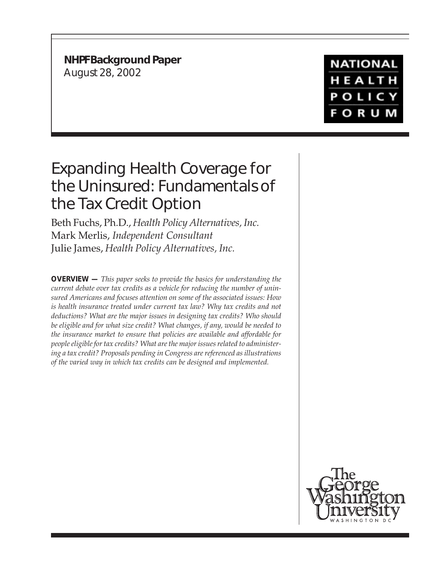**NHPF Background Paper** August 28, 2002

## **NATIONAL** HEALTH **POLICY FORUM**

# Expanding Health Coverage for the Uninsured: Fundamentals of the Tax Credit Option

Beth Fuchs, Ph.D., *Health Policy Alternatives, Inc.* Mark Merlis, *Independent Consultant* Julie James, *Health Policy Alternatives, Inc.*

**OVERVIEW —** *This paper seeks to provide the basics for understanding the current debate over tax credits as a vehicle for reducing the number of uninsured Americans and focuses attention on some of the associated issues: How is health insurance treated under current tax law? Why tax credits and not deductions? What are the major issues in designing tax credits? Who should be eligible and for what size credit? What changes, if any, would be needed to the insurance market to ensure that policies are available and affordable for people eligible for tax credits? What are the major issues related to administering a tax credit? Proposals pending in Congress are referenced as illustrations of the varied way in which tax credits can be designed and implemented.*

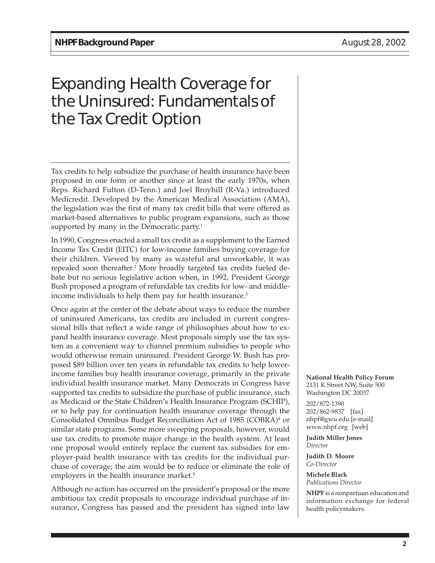# Expanding Health Coverage for the Uninsured: Fundamentals of the Tax Credit Option

Tax credits to help subsidize the purchase of health insurance have been proposed in one form or another since at least the early 1970s, when Reps. Richard Fulton (D-Tenn.) and Joel Broyhill (R-Va.) introduced Medicredit. Developed by the American Medical Association (AMA), the legislation was the first of many tax credit bills that were offered as market-based alternatives to public program expansions, such as those supported by many in the Democratic party.<sup>1</sup>

In 1990, Congress enacted a small tax credit as a supplement to the Earned Income Tax Credit (EITC) for low-income families buying coverage for their children. Viewed by many as wasteful and unworkable, it was repealed soon thereafter.<sup>2</sup> More broadly targeted tax credits fueled debate but no serious legislative action when, in 1992, President George Bush proposed a program of refundable tax credits for low- and middleincome individuals to help them pay for health insurance.<sup>3</sup>

Once again at the center of the debate about ways to reduce the number of uninsured Americans, tax credits are included in current congressional bills that reflect a wide range of philosophies about how to expand health insurance coverage. Most proposals simply use the tax system as a convenient way to channel premium subsidies to people who would otherwise remain uninsured. President George W. Bush has proposed \$89 billion over ten years in refundable tax credits to help lowerincome families buy health insurance coverage, primarily in the private individual health insurance market. Many Democrats in Congress have supported tax credits to subsidize the purchase of public insurance, such as Medicaid or the State Children's Health Insurance Program (SCHIP), or to help pay for continuation health insurance coverage through the Consolidated Omnibus Budget Reconciliation Act of 1985 (COBRA)4 or similar state programs. Some more sweeping proposals, however, would use tax credits to promote major change in the health system. At least one proposal would entirely replace the current tax subsidies for employer-paid health insurance with tax credits for the individual purchase of coverage; the aim would be to reduce or eliminate the role of employers in the health insurance market.<sup>5</sup>

Although no action has occurred on the president's proposal or the more ambitious tax credit proposals to encourage individual purchase of insurance, Congress has passed and the president has signed into law

**National Health Policy Forum** 2131 K Street NW, Suite 500 Washington DC 20037

202/872-1390 202/862-9837 [fax] nhpf@gwu.edu [e-mail] www.nhpf.org [web]

**Judith Miller Jones** *Director*

**Judith D. Moore** *Co-Director*

**Michele Black** *Publications Director*

**NHPF** is a nonpartisan education and information exchange for federal health policymakers.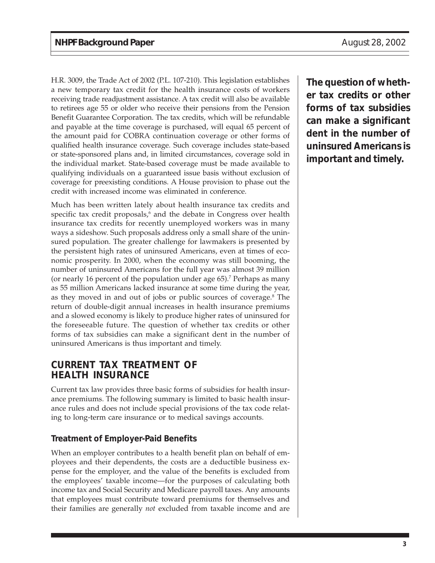H.R. 3009, the Trade Act of 2002 (P.L. 107-210). This legislation establishes a new temporary tax credit for the health insurance costs of workers receiving trade readjustment assistance. A tax credit will also be available to retirees age 55 or older who receive their pensions from the Pension Benefit Guarantee Corporation. The tax credits, which will be refundable and payable at the time coverage is purchased, will equal 65 percent of the amount paid for COBRA continuation coverage or other forms of qualified health insurance coverage. Such coverage includes state-based or state-sponsored plans and, in limited circumstances, coverage sold in the individual market. State-based coverage must be made available to qualifying individuals on a guaranteed issue basis without exclusion of coverage for preexisting conditions. A House provision to phase out the credit with increased income was eliminated in conference.

Much has been written lately about health insurance tax credits and specific tax credit proposals,<sup>6</sup> and the debate in Congress over health insurance tax credits for recently unemployed workers was in many ways a sideshow. Such proposals address only a small share of the uninsured population. The greater challenge for lawmakers is presented by the persistent high rates of uninsured Americans, even at times of economic prosperity. In 2000, when the economy was still booming, the number of uninsured Americans for the full year was almost 39 million (or nearly 16 percent of the population under age 65).<sup>7</sup> Perhaps as many as 55 million Americans lacked insurance at some time during the year, as they moved in and out of jobs or public sources of coverage.<sup>8</sup> The return of double-digit annual increases in health insurance premiums and a slowed economy is likely to produce higher rates of uninsured for the foreseeable future. The question of whether tax credits or other forms of tax subsidies can make a significant dent in the number of uninsured Americans is thus important and timely.

### **CURRENT TAX TREATMENT OF HEALTH INSURANCE**

Current tax law provides three basic forms of subsidies for health insurance premiums. The following summary is limited to basic health insurance rules and does not include special provisions of the tax code relating to long-term care insurance or to medical savings accounts.

#### **Treatment of Employer-Paid Benefits**

When an employer contributes to a health benefit plan on behalf of employees and their dependents, the costs are a deductible business expense for the employer, and the value of the benefits is excluded from the employees' taxable income—for the purposes of calculating both income tax and Social Security and Medicare payroll taxes. Any amounts that employees must contribute toward premiums for themselves and their families are generally *not* excluded from taxable income and are

**The question of whether tax credits or other forms of tax subsidies can make a significant dent in the number of uninsured Americans is important and timely.**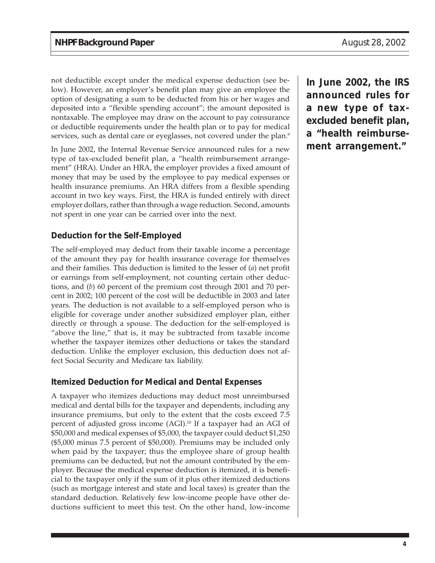not deductible except under the medical expense deduction (see below). However, an employer's benefit plan may give an employee the option of designating a sum to be deducted from his or her wages and deposited into a "flexible spending account"; the amount deposited is nontaxable. The employee may draw on the account to pay coinsurance or deductible requirements under the health plan or to pay for medical services, such as dental care or eyeglasses, not covered under the plan.<sup>9</sup>

In June 2002, the Internal Revenue Service announced rules for a new type of tax-excluded benefit plan, a "health reimbursement arrangement" (HRA). Under an HRA, the employer provides a fixed amount of money that may be used by the employee to pay medical expenses or health insurance premiums. An HRA differs from a flexible spending account in two key ways. First, the HRA is funded entirely with direct employer dollars, rather than through a wage reduction. Second, amounts not spent in one year can be carried over into the next.

#### **Deduction for the Self-Employed**

The self-employed may deduct from their taxable income a percentage of the amount they pay for health insurance coverage for themselves and their families. This deduction is limited to the lesser of (*a*) net profit or earnings from self-employment, not counting certain other deductions, and (*b*) 60 percent of the premium cost through 2001 and 70 percent in 2002; 100 percent of the cost will be deductible in 2003 and later years. The deduction is not available to a self-employed person who is eligible for coverage under another subsidized employer plan, either directly or through a spouse. The deduction for the self-employed is "above the line," that is, it may be subtracted from taxable income whether the taxpayer itemizes other deductions or takes the standard deduction. Unlike the employer exclusion, this deduction does not affect Social Security and Medicare tax liability.

#### **Itemized Deduction for Medical and Dental Expenses**

A taxpayer who itemizes deductions may deduct most unreimbursed medical and dental bills for the taxpayer and dependents, including any insurance premiums, but only to the extent that the costs exceed 7.5 percent of adjusted gross income (AGI).<sup>10</sup> If a taxpayer had an AGI of \$50,000 and medical expenses of \$5,000, the taxpayer could deduct \$1,250 (\$5,000 minus 7.5 percent of \$50,000). Premiums may be included only when paid by the taxpayer; thus the employee share of group health premiums can be deducted, but not the amount contributed by the employer. Because the medical expense deduction is itemized, it is beneficial to the taxpayer only if the sum of it plus other itemized deductions (such as mortgage interest and state and local taxes) is greater than the standard deduction. Relatively few low-income people have other deductions sufficient to meet this test. On the other hand, low-income

**In June 2002, the IRS announced rules for a new type of taxexcluded benefit plan, a "health reimbursement arrangement."**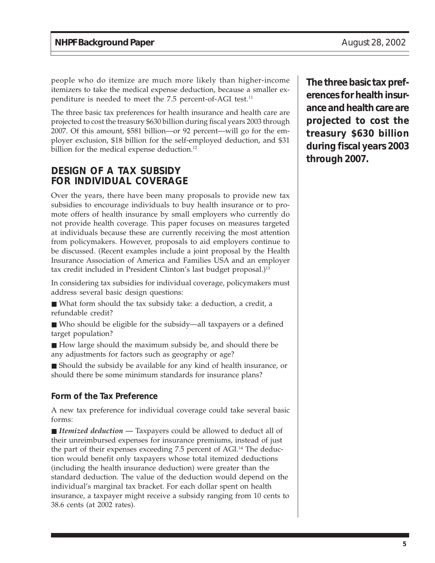people who do itemize are much more likely than higher-income itemizers to take the medical expense deduction, because a smaller expenditure is needed to meet the 7.5 percent-of-AGI test.<sup>11</sup>

The three basic tax preferences for health insurance and health care are projected to cost the treasury \$630 billion during fiscal years 2003 through 2007. Of this amount, \$581 billion—or 92 percent—will go for the employer exclusion, \$18 billion for the self-employed deduction, and \$31 billion for the medical expense deduction.<sup>12</sup>

### **DESIGN OF A TAX SUBSIDY FOR INDIVIDUAL COVERAGE**

Over the years, there have been many proposals to provide new tax subsidies to encourage individuals to buy health insurance or to promote offers of health insurance by small employers who currently do not provide health coverage. This paper focuses on measures targeted at individuals because these are currently receiving the most attention from policymakers. However, proposals to aid employers continue to be discussed. (Recent examples include a joint proposal by the Health Insurance Association of America and Families USA and an employer tax credit included in President Clinton's last budget proposal.)<sup>13</sup>

In considering tax subsidies for individual coverage, policymakers must address several basic design questions:

- What form should the tax subsidy take: a deduction, a credit, a refundable credit?
- Who should be eligible for the subsidy—all taxpayers or a defined target population?
- How large should the maximum subsidy be, and should there be any adjustments for factors such as geography or age?

■ Should the subsidy be available for any kind of health insurance, or should there be some minimum standards for insurance plans?

#### **Form of the Tax Preference**

A new tax preference for individual coverage could take several basic forms:

■ *Itemized deduction* — Taxpayers could be allowed to deduct all of their unreimbursed expenses for insurance premiums, instead of just the part of their expenses exceeding 7.5 percent of AGI.<sup>14</sup> The deduction would benefit only taxpayers whose total itemized deductions (including the health insurance deduction) were greater than the standard deduction. The value of the deduction would depend on the individual's marginal tax bracket. For each dollar spent on health insurance, a taxpayer might receive a subsidy ranging from 10 cents to 38.6 cents (at 2002 rates).

**The three basic tax preferences for health insurance and health care are projected to cost the treasury \$630 billion during fiscal years 2003 through 2007.**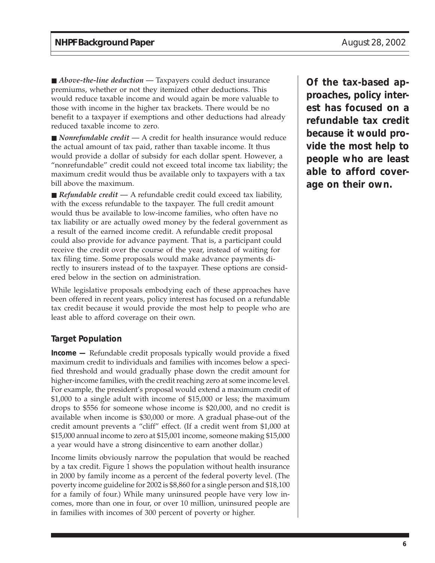■ *Above-the-line deduction* — Taxpayers could deduct insurance premiums, whether or not they itemized other deductions. This would reduce taxable income and would again be more valuable to those with income in the higher tax brackets. There would be no benefit to a taxpayer if exemptions and other deductions had already reduced taxable income to zero.

■ *Nonrefundable credit* — A credit for health insurance would reduce the actual amount of tax paid, rather than taxable income. It thus would provide a dollar of subsidy for each dollar spent. However, a "nonrefundable" credit could not exceed total income tax liability; the maximum credit would thus be available only to taxpayers with a tax bill above the maximum.

■ *Refundable credit* — A refundable credit could exceed tax liability, with the excess refundable to the taxpayer. The full credit amount would thus be available to low-income families, who often have no tax liability or are actually owed money by the federal government as a result of the earned income credit. A refundable credit proposal could also provide for advance payment. That is, a participant could receive the credit over the course of the year, instead of waiting for tax filing time. Some proposals would make advance payments directly to insurers instead of to the taxpayer. These options are considered below in the section on administration.

While legislative proposals embodying each of these approaches have been offered in recent years, policy interest has focused on a refundable tax credit because it would provide the most help to people who are least able to afford coverage on their own.

#### **Target Population**

**Income —** Refundable credit proposals typically would provide a fixed maximum credit to individuals and families with incomes below a specified threshold and would gradually phase down the credit amount for higher-income families, with the credit reaching zero at some income level. For example, the president's proposal would extend a maximum credit of \$1,000 to a single adult with income of \$15,000 or less; the maximum drops to \$556 for someone whose income is \$20,000, and no credit is available when income is \$30,000 or more. A gradual phase-out of the credit amount prevents a "cliff" effect. (If a credit went from \$1,000 at \$15,000 annual income to zero at \$15,001 income, someone making \$15,000 a year would have a strong disincentive to earn another dollar.)

Income limits obviously narrow the population that would be reached by a tax credit. Figure 1 shows the population without health insurance in 2000 by family income as a percent of the federal poverty level. (The poverty income guideline for 2002 is \$8,860 for a single person and \$18,100 for a family of four.) While many uninsured people have very low incomes, more than one in four, or over 10 million, uninsured people are in families with incomes of 300 percent of poverty or higher.

**Of the tax-based approaches, policy interest has focused on a refundable tax credit because it would provide the most help to people who are least able to afford coverage on their own.**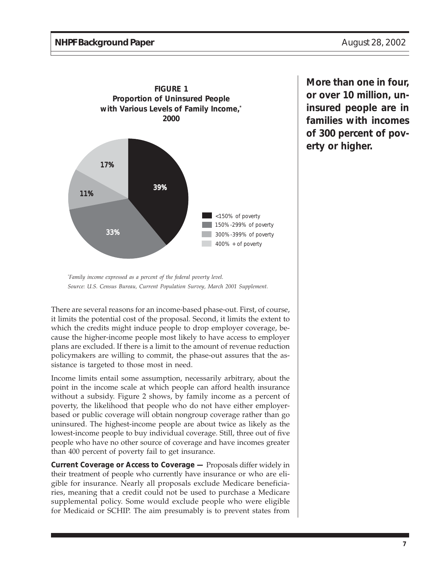

*\* Family income expressed as a percent of the federal poverty level. Source: U.S. Census Bureau, Current Population Survey, March 2001 Supplement.*

There are several reasons for an income-based phase-out. First, of course, it limits the potential cost of the proposal. Second, it limits the extent to which the credits might induce people to drop employer coverage, because the higher-income people most likely to have access to employer plans are excluded. If there is a limit to the amount of revenue reduction policymakers are willing to commit, the phase-out assures that the assistance is targeted to those most in need.

Income limits entail some assumption, necessarily arbitrary, about the point in the income scale at which people can afford health insurance without a subsidy. Figure 2 shows, by family income as a percent of poverty, the likelihood that people who do not have either employerbased or public coverage will obtain nongroup coverage rather than go uninsured. The highest-income people are about twice as likely as the lowest-income people to buy individual coverage. Still, three out of five people who have no other source of coverage and have incomes greater than 400 percent of poverty fail to get insurance.

**Current Coverage or Access to Coverage —** Proposals differ widely in their treatment of people who currently have insurance or who are eligible for insurance. Nearly all proposals exclude Medicare beneficiaries, meaning that a credit could not be used to purchase a Medicare supplemental policy. Some would exclude people who were eligible for Medicaid or SCHIP. The aim presumably is to prevent states from **More than one in four, or over 10 million, uninsured people are in families with incomes of 300 percent of poverty or higher.**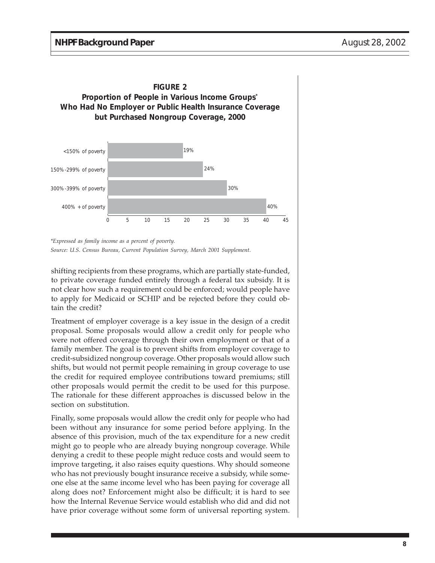

*<sup>\*</sup>Expressed as family income as a percent of poverty. Source: U.S. Census Bureau, Current Population Survey, March 2001 Supplement.*

shifting recipients from these programs, which are partially state-funded, to private coverage funded entirely through a federal tax subsidy. It is not clear how such a requirement could be enforced; would people have to apply for Medicaid or SCHIP and be rejected before they could obtain the credit?

Treatment of employer coverage is a key issue in the design of a credit proposal. Some proposals would allow a credit only for people who were not offered coverage through their own employment or that of a family member. The goal is to prevent shifts from employer coverage to credit-subsidized nongroup coverage. Other proposals would allow such shifts, but would not permit people remaining in group coverage to use the credit for required employee contributions toward premiums; still other proposals would permit the credit to be used for this purpose. The rationale for these different approaches is discussed below in the section on substitution.

Finally, some proposals would allow the credit only for people who had been without any insurance for some period before applying. In the absence of this provision, much of the tax expenditure for a new credit might go to people who are already buying nongroup coverage. While denying a credit to these people might reduce costs and would seem to improve targeting, it also raises equity questions. Why should someone who has not previously bought insurance receive a subsidy, while someone else at the same income level who has been paying for coverage all along does not? Enforcement might also be difficult; it is hard to see how the Internal Revenue Service would establish who did and did not have prior coverage without some form of universal reporting system.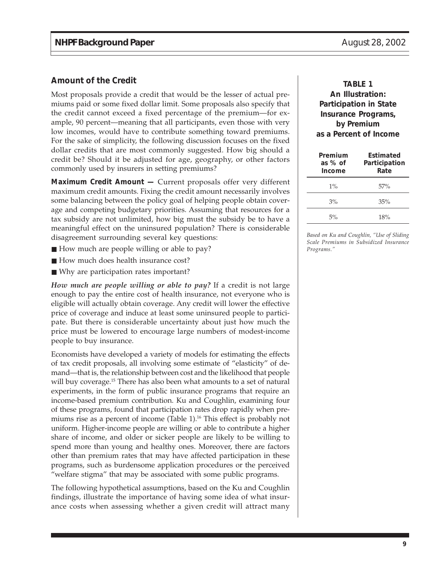#### **Amount of the Credit**

Most proposals provide a credit that would be the lesser of actual premiums paid or some fixed dollar limit. Some proposals also specify that the credit cannot exceed a fixed percentage of the premium—for example, 90 percent—meaning that all participants, even those with very low incomes, would have to contribute something toward premiums. For the sake of simplicity, the following discussion focuses on the fixed dollar credits that are most commonly suggested. How big should a credit be? Should it be adjusted for age, geography, or other factors commonly used by insurers in setting premiums?

**Maximum Credit Amount —** Current proposals offer very different maximum credit amounts. Fixing the credit amount necessarily involves some balancing between the policy goal of helping people obtain coverage and competing budgetary priorities. Assuming that resources for a tax subsidy are not unlimited, how big must the subsidy be to have a meaningful effect on the uninsured population? There is considerable disagreement surrounding several key questions:

- How much are people willing or able to pay?
- How much does health insurance cost?
- Why are participation rates important?

*How much are people willing or able to pay?* If a credit is not large enough to pay the entire cost of health insurance, not everyone who is eligible will actually obtain coverage. Any credit will lower the effective price of coverage and induce at least some uninsured people to participate. But there is considerable uncertainty about just how much the price must be lowered to encourage large numbers of modest-income people to buy insurance.

Economists have developed a variety of models for estimating the effects of tax credit proposals, all involving some estimate of "elasticity" of demand—that is, the relationship between cost and the likelihood that people will buy coverage.<sup>15</sup> There has also been what amounts to a set of natural experiments, in the form of public insurance programs that require an income-based premium contribution. Ku and Coughlin, examining four of these programs, found that participation rates drop rapidly when premiums rise as a percent of income (Table 1).<sup>16</sup> This effect is probably not uniform. Higher-income people are willing or able to contribute a higher share of income, and older or sicker people are likely to be willing to spend more than young and healthy ones. Moreover, there are factors other than premium rates that may have affected participation in these programs, such as burdensome application procedures or the perceived "welfare stigma" that may be associated with some public programs.

The following hypothetical assumptions, based on the Ku and Coughlin findings, illustrate the importance of having some idea of what insurance costs when assessing whether a given credit will attract many

#### **TABLE 1 An Illustration: Participation in State Insurance Programs, by Premium as a Percent of Income**

| Premium<br>as % of<br>Income | Estimated<br>Participation<br>Rate |
|------------------------------|------------------------------------|
| $1\%$                        | 57%                                |
| 3%                           | 35%                                |
| 5%                           | 18%                                |

*Based on Ku and Coughlin, "Use of Sliding Scale Premiums in Subsidized Insurance Programs."*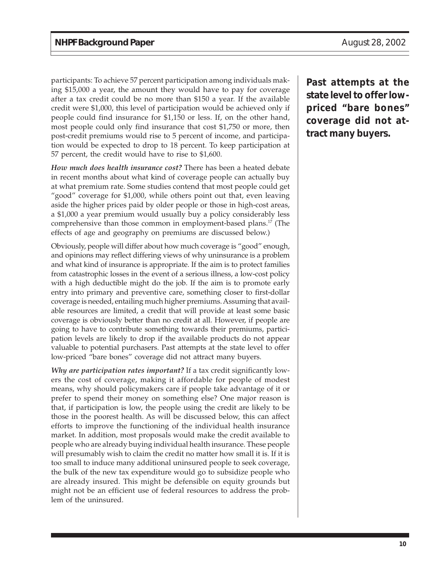participants: To achieve 57 percent participation among individuals making \$15,000 a year, the amount they would have to pay for coverage after a tax credit could be no more than \$150 a year. If the available credit were \$1,000, this level of participation would be achieved only if people could find insurance for \$1,150 or less. If, on the other hand, most people could only find insurance that cost \$1,750 or more, then post-credit premiums would rise to 5 percent of income, and participation would be expected to drop to 18 percent. To keep participation at 57 percent, the credit would have to rise to \$1,600.

*How much does health insurance cost?* There has been a heated debate in recent months about what kind of coverage people can actually buy at what premium rate. Some studies contend that most people could get "good" coverage for \$1,000, while others point out that, even leaving aside the higher prices paid by older people or those in high-cost areas, a \$1,000 a year premium would usually buy a policy considerably less comprehensive than those common in employment-based plans.17 (The effects of age and geography on premiums are discussed below.)

Obviously, people will differ about how much coverage is "good" enough, and opinions may reflect differing views of why uninsurance is a problem and what kind of insurance is appropriate. If the aim is to protect families from catastrophic losses in the event of a serious illness, a low-cost policy with a high deductible might do the job. If the aim is to promote early entry into primary and preventive care, something closer to first-dollar coverage is needed, entailing much higher premiums. Assuming that available resources are limited, a credit that will provide at least some basic coverage is obviously better than no credit at all. However, if people are going to have to contribute something towards their premiums, participation levels are likely to drop if the available products do not appear valuable to potential purchasers. Past attempts at the state level to offer low-priced "bare bones" coverage did not attract many buyers.

*Why are participation rates important?* If a tax credit significantly lowers the cost of coverage, making it affordable for people of modest means, why should policymakers care if people take advantage of it or prefer to spend their money on something else? One major reason is that, if participation is low, the people using the credit are likely to be those in the poorest health. As will be discussed below, this can affect efforts to improve the functioning of the individual health insurance market. In addition, most proposals would make the credit available to people who are already buying individual health insurance. These people will presumably wish to claim the credit no matter how small it is. If it is too small to induce many additional uninsured people to seek coverage, the bulk of the new tax expenditure would go to subsidize people who are already insured. This might be defensible on equity grounds but might not be an efficient use of federal resources to address the problem of the uninsured.

**Past attempts at the state level to offer lowpriced "bare bones" coverage did not attract many buyers.**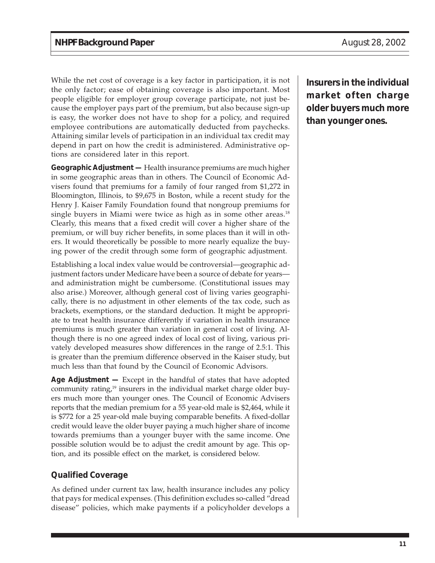While the net cost of coverage is a key factor in participation, it is not the only factor; ease of obtaining coverage is also important. Most people eligible for employer group coverage participate, not just because the employer pays part of the premium, but also because sign-up is easy, the worker does not have to shop for a policy, and required employee contributions are automatically deducted from paychecks. Attaining similar levels of participation in an individual tax credit may depend in part on how the credit is administered. Administrative options are considered later in this report.

**Geographic Adjustment —** Health insurance premiums are much higher in some geographic areas than in others. The Council of Economic Advisers found that premiums for a family of four ranged from \$1,272 in Bloomington, Illinois, to \$9,675 in Boston, while a recent study for the Henry J. Kaiser Family Foundation found that nongroup premiums for single buyers in Miami were twice as high as in some other areas.<sup>18</sup> Clearly, this means that a fixed credit will cover a higher share of the premium, or will buy richer benefits, in some places than it will in others. It would theoretically be possible to more nearly equalize the buying power of the credit through some form of geographic adjustment.

Establishing a local index value would be controversial—geographic adjustment factors under Medicare have been a source of debate for years and administration might be cumbersome. (Constitutional issues may also arise.) Moreover, although general cost of living varies geographically, there is no adjustment in other elements of the tax code, such as brackets, exemptions, or the standard deduction. It might be appropriate to treat health insurance differently if variation in health insurance premiums is much greater than variation in general cost of living. Although there is no one agreed index of local cost of living, various privately developed measures show differences in the range of 2.5:1. This is greater than the premium difference observed in the Kaiser study, but much less than that found by the Council of Economic Advisors.

**Age Adjustment —** Except in the handful of states that have adopted community rating,19 insurers in the individual market charge older buyers much more than younger ones. The Council of Economic Advisers reports that the median premium for a 55 year-old male is \$2,464, while it is \$772 for a 25 year-old male buying comparable benefits. A fixed-dollar credit would leave the older buyer paying a much higher share of income towards premiums than a younger buyer with the same income. One possible solution would be to adjust the credit amount by age. This option, and its possible effect on the market, is considered below.

#### **Qualified Coverage**

As defined under current tax law, health insurance includes any policy that pays for medical expenses. (This definition excludes so-called "dread disease" policies, which make payments if a policyholder develops a **Insurers in the individual market often charge older buyers much more than younger ones.**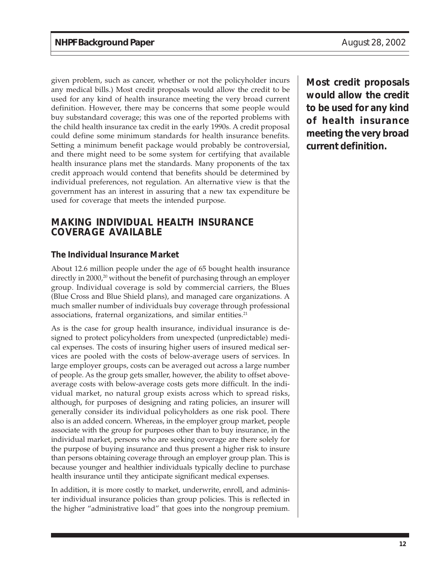given problem, such as cancer, whether or not the policyholder incurs any medical bills.) Most credit proposals would allow the credit to be used for any kind of health insurance meeting the very broad current definition. However, there may be concerns that some people would buy substandard coverage; this was one of the reported problems with the child health insurance tax credit in the early 1990s. A credit proposal could define some minimum standards for health insurance benefits. Setting a minimum benefit package would probably be controversial, and there might need to be some system for certifying that available health insurance plans met the standards. Many proponents of the tax credit approach would contend that benefits should be determined by individual preferences, not regulation. An alternative view is that the government has an interest in assuring that a new tax expenditure be used for coverage that meets the intended purpose.

### **MAKING INDIVIDUAL HEALTH INSURANCE COVERAGE AVAILABLE**

#### **The Individual Insurance Market**

About 12.6 million people under the age of 65 bought health insurance directly in 2000,<sup>20</sup> without the benefit of purchasing through an employer group. Individual coverage is sold by commercial carriers, the Blues (Blue Cross and Blue Shield plans), and managed care organizations. A much smaller number of individuals buy coverage through professional associations, fraternal organizations, and similar entities.<sup>21</sup>

As is the case for group health insurance, individual insurance is designed to protect policyholders from unexpected (unpredictable) medical expenses. The costs of insuring higher users of insured medical services are pooled with the costs of below-average users of services. In large employer groups, costs can be averaged out across a large number of people. As the group gets smaller, however, the ability to offset aboveaverage costs with below-average costs gets more difficult. In the individual market, no natural group exists across which to spread risks, although, for purposes of designing and rating policies, an insurer will generally consider its individual policyholders as one risk pool. There also is an added concern. Whereas, in the employer group market, people associate with the group for purposes other than to buy insurance, in the individual market, persons who are seeking coverage are there solely for the purpose of buying insurance and thus present a higher risk to insure than persons obtaining coverage through an employer group plan. This is because younger and healthier individuals typically decline to purchase health insurance until they anticipate significant medical expenses.

In addition, it is more costly to market, underwrite, enroll, and administer individual insurance policies than group policies. This is reflected in the higher "administrative load" that goes into the nongroup premium. **Most credit proposals would allow the credit to be used for any kind of health insurance meeting the very broad current definition.**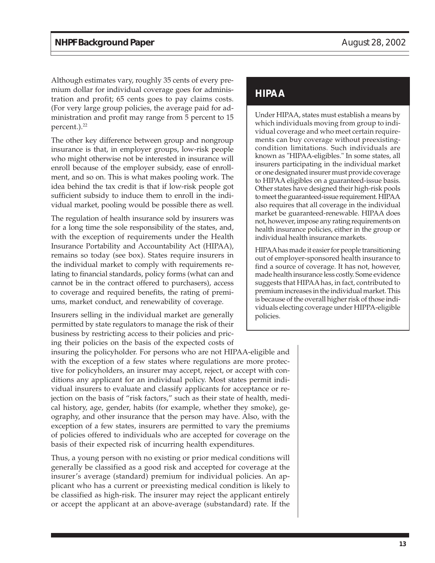Although estimates vary, roughly 35 cents of every premium dollar for individual coverage goes for administration and profit; 65 cents goes to pay claims costs. (For very large group policies, the average paid for administration and profit may range from 5 percent to 15 percent.).<sup>22</sup>

The other key difference between group and nongroup insurance is that, in employer groups, low-risk people who might otherwise not be interested in insurance will enroll because of the employer subsidy, ease of enrollment, and so on. This is what makes pooling work. The idea behind the tax credit is that if low-risk people got sufficient subsidy to induce them to enroll in the individual market, pooling would be possible there as well.

The regulation of health insurance sold by insurers was for a long time the sole responsibility of the states, and, with the exception of requirements under the Health Insurance Portability and Accountability Act (HIPAA), remains so today (see box). States require insurers in the individual market to comply with requirements relating to financial standards, policy forms (what can and cannot be in the contract offered to purchasers), access to coverage and required benefits, the rating of premiums, market conduct, and renewability of coverage.

Insurers selling in the individual market are generally permitted by state regulators to manage the risk of their business by restricting access to their policies and pricing their policies on the basis of the expected costs of

insuring the policyholder. For persons who are not HIPAA-eligible and with the exception of a few states where regulations are more protective for policyholders, an insurer may accept, reject, or accept with conditions any applicant for an individual policy. Most states permit individual insurers to evaluate and classify applicants for acceptance or rejection on the basis of "risk factors," such as their state of health, medical history, age, gender, habits (for example, whether they smoke), geography, and other insurance that the person may have. Also, with the exception of a few states, insurers are permitted to vary the premiums of policies offered to individuals who are accepted for coverage on the basis of their expected risk of incurring health expenditures.

Thus, a young person with no existing or prior medical conditions will generally be classified as a good risk and accepted for coverage at the insurer's average (standard) premium for individual policies. An applicant who has a current or preexisting medical condition is likely to be classified as high-risk. The insurer may reject the applicant entirely or accept the applicant at an above-average (substandard) rate. If the

## **HIPAA**

Under HIPAA, states must establish a means by which individuals moving from group to individual coverage and who meet certain requirements can buy coverage without preexistingcondition limitations. Such individuals are known as "HIPAA-eligibles." In some states, all insurers participating in the individual market or one designated insurer must provide coverage to HIPAA eligibles on a guaranteed-issue basis. Other states have designed their high-risk pools to meet the guaranteed-issue requirement. HIPAA also requires that all coverage in the individual market be guaranteed-renewable. HIPAA does not, however, impose any rating requirements on health insurance policies, either in the group or individual health insurance markets.

HIPAA has made it easier for people transitioning out of employer-sponsored health insurance to find a source of coverage. It has not, however, made health insurance less costly. Some evidence suggests that HIPAA has, in fact, contributed to premium increases in the individual market. This is because of the overall higher risk of those individuals electing coverage under HIPPA-eligible policies.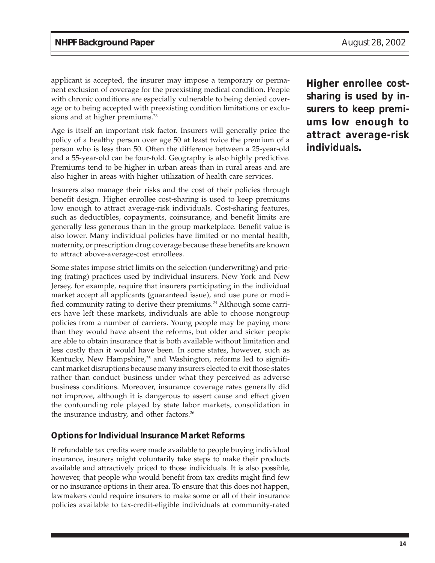applicant is accepted, the insurer may impose a temporary or permanent exclusion of coverage for the preexisting medical condition. People with chronic conditions are especially vulnerable to being denied coverage or to being accepted with preexisting condition limitations or exclusions and at higher premiums.<sup>23</sup>

Age is itself an important risk factor. Insurers will generally price the policy of a healthy person over age 50 at least twice the premium of a person who is less than 50. Often the difference between a 25-year-old and a 55-year-old can be four-fold. Geography is also highly predictive. Premiums tend to be higher in urban areas than in rural areas and are also higher in areas with higher utilization of health care services.

Insurers also manage their risks and the cost of their policies through benefit design. Higher enrollee cost-sharing is used to keep premiums low enough to attract average-risk individuals. Cost-sharing features, such as deductibles, copayments, coinsurance, and benefit limits are generally less generous than in the group marketplace. Benefit value is also lower. Many individual policies have limited or no mental health, maternity, or prescription drug coverage because these benefits are known to attract above-average-cost enrollees.

Some states impose strict limits on the selection (underwriting) and pricing (rating) practices used by individual insurers. New York and New Jersey, for example, require that insurers participating in the individual market accept all applicants (guaranteed issue), and use pure or modified community rating to derive their premiums.<sup>24</sup> Although some carriers have left these markets, individuals are able to choose nongroup policies from a number of carriers. Young people may be paying more than they would have absent the reforms, but older and sicker people are able to obtain insurance that is both available without limitation and less costly than it would have been. In some states, however, such as Kentucky, New Hampshire,<sup>25</sup> and Washington, reforms led to significant market disruptions because many insurers elected to exit those states rather than conduct business under what they perceived as adverse business conditions. Moreover, insurance coverage rates generally did not improve, although it is dangerous to assert cause and effect given the confounding role played by state labor markets, consolidation in the insurance industry, and other factors.<sup>26</sup>

#### **Options for Individual Insurance Market Reforms**

If refundable tax credits were made available to people buying individual insurance, insurers might voluntarily take steps to make their products available and attractively priced to those individuals. It is also possible, however, that people who would benefit from tax credits might find few or no insurance options in their area. To ensure that this does not happen, lawmakers could require insurers to make some or all of their insurance policies available to tax-credit-eligible individuals at community-rated

**Higher enrollee costsharing is used by insurers to keep premiums low enough to attract average-risk individuals.**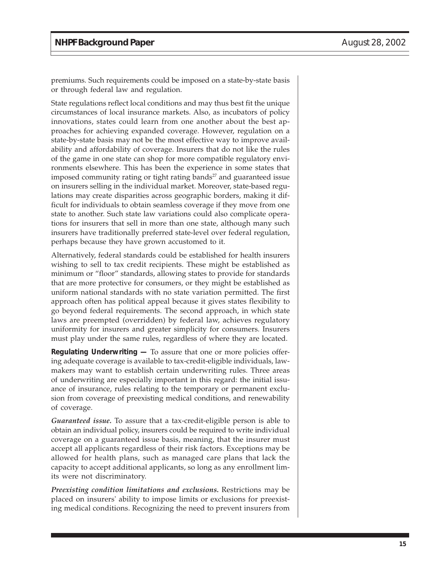premiums. Such requirements could be imposed on a state-by-state basis or through federal law and regulation.

State regulations reflect local conditions and may thus best fit the unique circumstances of local insurance markets. Also, as incubators of policy innovations, states could learn from one another about the best approaches for achieving expanded coverage. However, regulation on a state-by-state basis may not be the most effective way to improve availability and affordability of coverage. Insurers that do not like the rules of the game in one state can shop for more compatible regulatory environments elsewhere. This has been the experience in some states that imposed community rating or tight rating bands $2<sup>7</sup>$  and guaranteed issue on insurers selling in the individual market. Moreover, state-based regulations may create disparities across geographic borders, making it difficult for individuals to obtain seamless coverage if they move from one state to another. Such state law variations could also complicate operations for insurers that sell in more than one state, although many such insurers have traditionally preferred state-level over federal regulation, perhaps because they have grown accustomed to it.

Alternatively, federal standards could be established for health insurers wishing to sell to tax credit recipients. These might be established as minimum or "floor" standards, allowing states to provide for standards that are more protective for consumers, or they might be established as uniform national standards with no state variation permitted. The first approach often has political appeal because it gives states flexibility to go beyond federal requirements. The second approach, in which state laws are preempted (overridden) by federal law, achieves regulatory uniformity for insurers and greater simplicity for consumers. Insurers must play under the same rules, regardless of where they are located.

**Regulating Underwriting —** To assure that one or more policies offering adequate coverage is available to tax-credit-eligible individuals, lawmakers may want to establish certain underwriting rules. Three areas of underwriting are especially important in this regard: the initial issuance of insurance, rules relating to the temporary or permanent exclusion from coverage of preexisting medical conditions, and renewability of coverage.

*Guaranteed issue.* To assure that a tax-credit-eligible person is able to obtain an individual policy, insurers could be required to write individual coverage on a guaranteed issue basis, meaning, that the insurer must accept all applicants regardless of their risk factors. Exceptions may be allowed for health plans, such as managed care plans that lack the capacity to accept additional applicants, so long as any enrollment limits were not discriminatory.

*Preexisting condition limitations and exclusions.* Restrictions may be placed on insurers' ability to impose limits or exclusions for preexisting medical conditions. Recognizing the need to prevent insurers from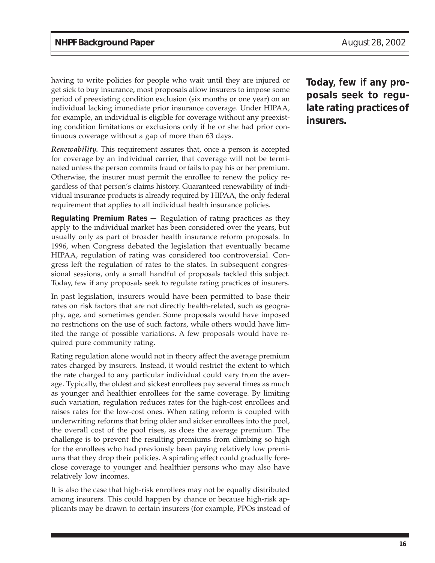having to write policies for people who wait until they are injured or get sick to buy insurance, most proposals allow insurers to impose some period of preexisting condition exclusion (six months or one year) on an individual lacking immediate prior insurance coverage. Under HIPAA, for example, an individual is eligible for coverage without any preexisting condition limitations or exclusions only if he or she had prior continuous coverage without a gap of more than 63 days.

*Renewability.* This requirement assures that, once a person is accepted for coverage by an individual carrier, that coverage will not be terminated unless the person commits fraud or fails to pay his or her premium. Otherwise, the insurer must permit the enrollee to renew the policy regardless of that person's claims history. Guaranteed renewability of individual insurance products is already required by HIPAA, the only federal requirement that applies to all individual health insurance policies.

**Regulating Premium Rates —** Regulation of rating practices as they apply to the individual market has been considered over the years, but usually only as part of broader health insurance reform proposals. In 1996, when Congress debated the legislation that eventually became HIPAA, regulation of rating was considered too controversial. Congress left the regulation of rates to the states. In subsequent congressional sessions, only a small handful of proposals tackled this subject. Today, few if any proposals seek to regulate rating practices of insurers.

In past legislation, insurers would have been permitted to base their rates on risk factors that are not directly health-related, such as geography, age, and sometimes gender. Some proposals would have imposed no restrictions on the use of such factors, while others would have limited the range of possible variations. A few proposals would have required pure community rating.

Rating regulation alone would not in theory affect the average premium rates charged by insurers. Instead, it would restrict the extent to which the rate charged to any particular individual could vary from the average. Typically, the oldest and sickest enrollees pay several times as much as younger and healthier enrollees for the same coverage. By limiting such variation, regulation reduces rates for the high-cost enrollees and raises rates for the low-cost ones. When rating reform is coupled with underwriting reforms that bring older and sicker enrollees into the pool, the overall cost of the pool rises, as does the average premium. The challenge is to prevent the resulting premiums from climbing so high for the enrollees who had previously been paying relatively low premiums that they drop their policies. A spiraling effect could gradually foreclose coverage to younger and healthier persons who may also have relatively low incomes.

It is also the case that high-risk enrollees may not be equally distributed among insurers. This could happen by chance or because high-risk applicants may be drawn to certain insurers (for example, PPOs instead of

**Today, few if any proposals seek to regulate rating practices of insurers.**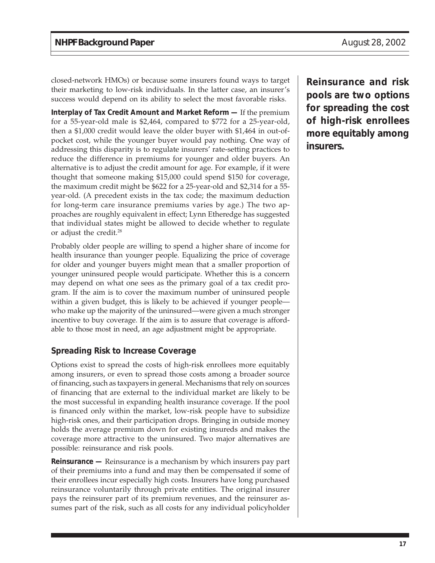closed-network HMOs) or because some insurers found ways to target their marketing to low-risk individuals. In the latter case, an insurer's success would depend on its ability to select the most favorable risks.

**Interplay of Tax Credit Amount and Market Reform —** If the premium for a 55-year-old male is \$2,464, compared to \$772 for a 25-year-old, then a \$1,000 credit would leave the older buyer with \$1,464 in out-ofpocket cost, while the younger buyer would pay nothing. One way of addressing this disparity is to regulate insurers' rate-setting practices to reduce the difference in premiums for younger and older buyers. An alternative is to adjust the credit amount for age. For example, if it were thought that someone making \$15,000 could spend \$150 for coverage, the maximum credit might be \$622 for a 25-year-old and \$2,314 for a 55 year-old. (A precedent exists in the tax code; the maximum deduction for long-term care insurance premiums varies by age.) The two approaches are roughly equivalent in effect; Lynn Etheredge has suggested that individual states might be allowed to decide whether to regulate or adjust the credit.28

Probably older people are willing to spend a higher share of income for health insurance than younger people. Equalizing the price of coverage for older and younger buyers might mean that a smaller proportion of younger uninsured people would participate. Whether this is a concern may depend on what one sees as the primary goal of a tax credit program. If the aim is to cover the maximum number of uninsured people within a given budget, this is likely to be achieved if younger people who make up the majority of the uninsured—were given a much stronger incentive to buy coverage. If the aim is to assure that coverage is affordable to those most in need, an age adjustment might be appropriate.

#### **Spreading Risk to Increase Coverage**

Options exist to spread the costs of high-risk enrollees more equitably among insurers, or even to spread those costs among a broader source of financing, such as taxpayers in general. Mechanisms that rely on sources of financing that are external to the individual market are likely to be the most successful in expanding health insurance coverage. If the pool is financed only within the market, low-risk people have to subsidize high-risk ones, and their participation drops. Bringing in outside money holds the average premium down for existing insureds and makes the coverage more attractive to the uninsured. Two major alternatives are possible: reinsurance and risk pools.

**Reinsurance —** Reinsurance is a mechanism by which insurers pay part of their premiums into a fund and may then be compensated if some of their enrollees incur especially high costs. Insurers have long purchased reinsurance voluntarily through private entities. The original insurer pays the reinsurer part of its premium revenues, and the reinsurer assumes part of the risk, such as all costs for any individual policyholder

**Reinsurance and risk pools are two options for spreading the cost of high-risk enrollees more equitably among insurers.**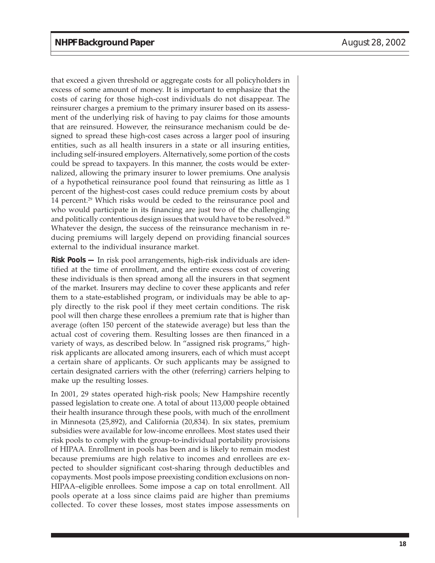that exceed a given threshold or aggregate costs for all policyholders in excess of some amount of money. It is important to emphasize that the costs of caring for those high-cost individuals do not disappear. The reinsurer charges a premium to the primary insurer based on its assessment of the underlying risk of having to pay claims for those amounts that are reinsured. However, the reinsurance mechanism could be designed to spread these high-cost cases across a larger pool of insuring entities, such as all health insurers in a state or all insuring entities, including self-insured employers. Alternatively, some portion of the costs could be spread to taxpayers. In this manner, the costs would be externalized, allowing the primary insurer to lower premiums. One analysis of a hypothetical reinsurance pool found that reinsuring as little as 1 percent of the highest-cost cases could reduce premium costs by about 14 percent.<sup>29</sup> Which risks would be ceded to the reinsurance pool and who would participate in its financing are just two of the challenging and politically contentious design issues that would have to be resolved.<sup>30</sup> Whatever the design, the success of the reinsurance mechanism in reducing premiums will largely depend on providing financial sources external to the individual insurance market.

**Risk Pools —** In risk pool arrangements, high-risk individuals are identified at the time of enrollment, and the entire excess cost of covering these individuals is then spread among all the insurers in that segment of the market. Insurers may decline to cover these applicants and refer them to a state-established program, or individuals may be able to apply directly to the risk pool if they meet certain conditions. The risk pool will then charge these enrollees a premium rate that is higher than average (often 150 percent of the statewide average) but less than the actual cost of covering them. Resulting losses are then financed in a variety of ways, as described below. In "assigned risk programs," highrisk applicants are allocated among insurers, each of which must accept a certain share of applicants. Or such applicants may be assigned to certain designated carriers with the other (referring) carriers helping to make up the resulting losses.

In 2001, 29 states operated high-risk pools; New Hampshire recently passed legislation to create one. A total of about 113,000 people obtained their health insurance through these pools, with much of the enrollment in Minnesota (25,892), and California (20,834). In six states, premium subsidies were available for low-income enrollees. Most states used their risk pools to comply with the group-to-individual portability provisions of HIPAA. Enrollment in pools has been and is likely to remain modest because premiums are high relative to incomes and enrollees are expected to shoulder significant cost-sharing through deductibles and copayments. Most pools impose preexisting condition exclusions on non-HIPAA–eligible enrollees. Some impose a cap on total enrollment. All pools operate at a loss since claims paid are higher than premiums collected. To cover these losses, most states impose assessments on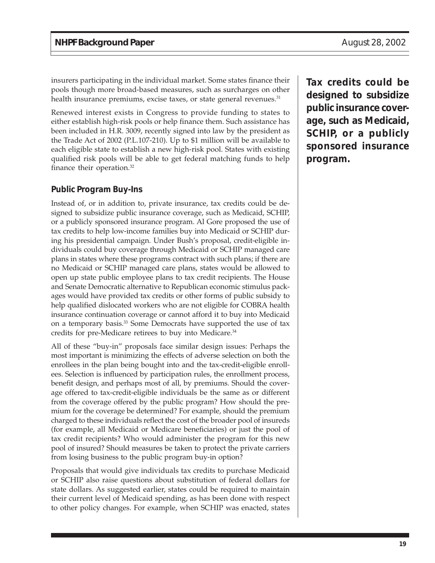insurers participating in the individual market. Some states finance their pools though more broad-based measures, such as surcharges on other health insurance premiums, excise taxes, or state general revenues.<sup>31</sup>

Renewed interest exists in Congress to provide funding to states to either establish high-risk pools or help finance them. Such assistance has been included in H.R. 3009, recently signed into law by the president as the Trade Act of 2002 (P.L.107-210). Up to \$1 million will be available to each eligible state to establish a new high-risk pool. States with existing qualified risk pools will be able to get federal matching funds to help finance their operation.32

#### **Public Program Buy-Ins**

Instead of, or in addition to, private insurance, tax credits could be designed to subsidize public insurance coverage, such as Medicaid, SCHIP, or a publicly sponsored insurance program. Al Gore proposed the use of tax credits to help low-income families buy into Medicaid or SCHIP during his presidential campaign. Under Bush's proposal, credit-eligible individuals could buy coverage through Medicaid or SCHIP managed care plans in states where these programs contract with such plans; if there are no Medicaid or SCHIP managed care plans, states would be allowed to open up state public employee plans to tax credit recipients. The House and Senate Democratic alternative to Republican economic stimulus packages would have provided tax credits or other forms of public subsidy to help qualified dislocated workers who are not eligible for COBRA health insurance continuation coverage or cannot afford it to buy into Medicaid on a temporary basis.33 Some Democrats have supported the use of tax credits for pre-Medicare retirees to buy into Medicare.<sup>34</sup>

All of these "buy-in" proposals face similar design issues: Perhaps the most important is minimizing the effects of adverse selection on both the enrollees in the plan being bought into and the tax-credit-eligible enrollees. Selection is influenced by participation rules, the enrollment process, benefit design, and perhaps most of all, by premiums. Should the coverage offered to tax-credit-eligible individuals be the same as or different from the coverage offered by the public program? How should the premium for the coverage be determined? For example, should the premium charged to these individuals reflect the cost of the broader pool of insureds (for example, all Medicaid or Medicare beneficiaries) or just the pool of tax credit recipients? Who would administer the program for this new pool of insured? Should measures be taken to protect the private carriers from losing business to the public program buy-in option?

Proposals that would give individuals tax credits to purchase Medicaid or SCHIP also raise questions about substitution of federal dollars for state dollars. As suggested earlier, states could be required to maintain their current level of Medicaid spending, as has been done with respect to other policy changes. For example, when SCHIP was enacted, states

**Tax credits could be designed to subsidize public insurance coverage, such as Medicaid, SCHIP, or a publicly sponsored insurance program.**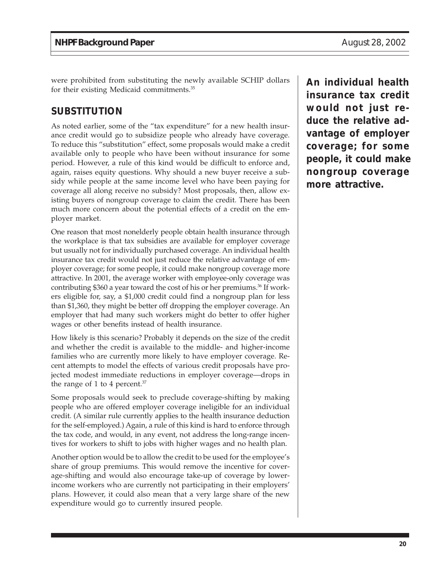were prohibited from substituting the newly available SCHIP dollars for their existing Medicaid commitments.35

## **SUBSTITUTION**

As noted earlier, some of the "tax expenditure" for a new health insurance credit would go to subsidize people who already have coverage. To reduce this "substitution" effect, some proposals would make a credit available only to people who have been without insurance for some period. However, a rule of this kind would be difficult to enforce and, again, raises equity questions. Why should a new buyer receive a subsidy while people at the same income level who have been paying for coverage all along receive no subsidy? Most proposals, then, allow existing buyers of nongroup coverage to claim the credit. There has been much more concern about the potential effects of a credit on the employer market.

One reason that most nonelderly people obtain health insurance through the workplace is that tax subsidies are available for employer coverage but usually not for individually purchased coverage. An individual health insurance tax credit would not just reduce the relative advantage of employer coverage; for some people, it could make nongroup coverage more attractive. In 2001, the average worker with employee-only coverage was contributing \$360 a year toward the cost of his or her premiums.<sup>36</sup> If workers eligible for, say, a \$1,000 credit could find a nongroup plan for less than \$1,360, they might be better off dropping the employer coverage. An employer that had many such workers might do better to offer higher wages or other benefits instead of health insurance.

How likely is this scenario? Probably it depends on the size of the credit and whether the credit is available to the middle- and higher-income families who are currently more likely to have employer coverage. Recent attempts to model the effects of various credit proposals have projected modest immediate reductions in employer coverage—drops in the range of 1 to 4 percent. $37$ 

Some proposals would seek to preclude coverage-shifting by making people who are offered employer coverage ineligible for an individual credit. (A similar rule currently applies to the health insurance deduction for the self-employed.) Again, a rule of this kind is hard to enforce through the tax code, and would, in any event, not address the long-range incentives for workers to shift to jobs with higher wages and no health plan.

Another option would be to allow the credit to be used for the employee's share of group premiums. This would remove the incentive for coverage-shifting and would also encourage take-up of coverage by lowerincome workers who are currently not participating in their employers' plans. However, it could also mean that a very large share of the new expenditure would go to currently insured people.

**An individual health insurance tax credit would not just reduce the relative advantage of employer coverage; for some people, it could make nongroup coverage more attractive.**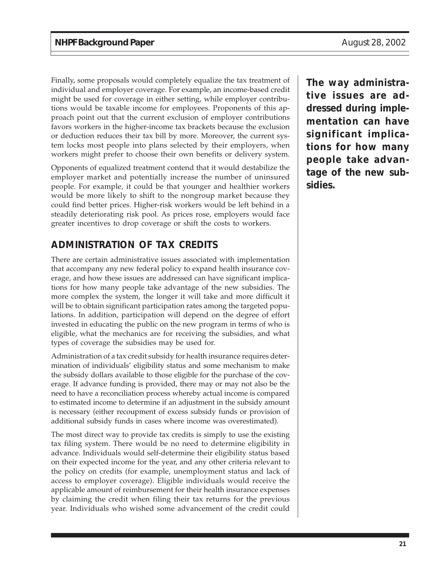Finally, some proposals would completely equalize the tax treatment of individual and employer coverage. For example, an income-based credit might be used for coverage in either setting, while employer contributions would be taxable income for employees. Proponents of this approach point out that the current exclusion of employer contributions favors workers in the higher-income tax brackets because the exclusion or deduction reduces their tax bill by more. Moreover, the current system locks most people into plans selected by their employers, when workers might prefer to choose their own benefits or delivery system.

Opponents of equalized treatment contend that it would destabilize the employer market and potentially increase the number of uninsured people. For example, it could be that younger and healthier workers would be more likely to shift to the nongroup market because they could find better prices. Higher-risk workers would be left behind in a steadily deteriorating risk pool. As prices rose, employers would face greater incentives to drop coverage or shift the costs to workers.

## **ADMINISTRATION OF TAX CREDITS**

There are certain administrative issues associated with implementation that accompany any new federal policy to expand health insurance coverage, and how these issues are addressed can have significant implications for how many people take advantage of the new subsidies. The more complex the system, the longer it will take and more difficult it will be to obtain significant participation rates among the targeted populations. In addition, participation will depend on the degree of effort invested in educating the public on the new program in terms of who is eligible, what the mechanics are for receiving the subsidies, and what types of coverage the subsidies may be used for.

Administration of a tax credit subsidy for health insurance requires determination of individuals' eligibility status and some mechanism to make the subsidy dollars available to those eligible for the purchase of the coverage. If advance funding is provided, there may or may not also be the need to have a reconciliation process whereby actual income is compared to estimated income to determine if an adjustment in the subsidy amount is necessary (either recoupment of excess subsidy funds or provision of additional subsidy funds in cases where income was overestimated).

The most direct way to provide tax credits is simply to use the existing tax filing system. There would be no need to determine eligibility in advance. Individuals would self-determine their eligibility status based on their expected income for the year, and any other criteria relevant to the policy on credits (for example, unemployment status and lack of access to employer coverage). Eligible individuals would receive the applicable amount of reimbursement for their health insurance expenses by claiming the credit when filing their tax returns for the previous year. Individuals who wished some advancement of the credit could

**The way administrative issues are addressed during implementation can have significant implications for how many people take advantage of the new subsidies.**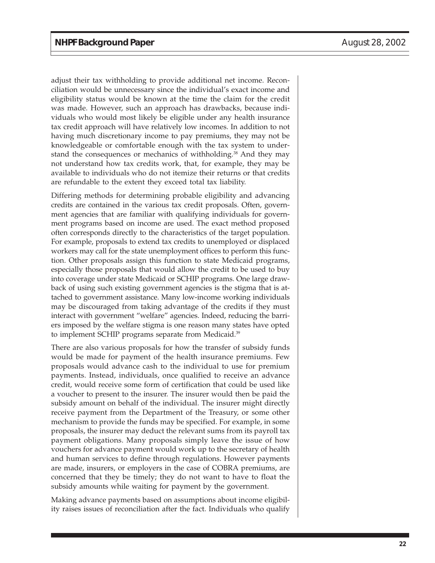adjust their tax withholding to provide additional net income. Reconciliation would be unnecessary since the individual's exact income and eligibility status would be known at the time the claim for the credit was made. However, such an approach has drawbacks, because individuals who would most likely be eligible under any health insurance tax credit approach will have relatively low incomes. In addition to not having much discretionary income to pay premiums, they may not be knowledgeable or comfortable enough with the tax system to understand the consequences or mechanics of withholding.<sup>38</sup> And they may not understand how tax credits work, that, for example, they may be available to individuals who do not itemize their returns or that credits are refundable to the extent they exceed total tax liability.

Differing methods for determining probable eligibility and advancing credits are contained in the various tax credit proposals. Often, government agencies that are familiar with qualifying individuals for government programs based on income are used. The exact method proposed often corresponds directly to the characteristics of the target population. For example, proposals to extend tax credits to unemployed or displaced workers may call for the state unemployment offices to perform this function. Other proposals assign this function to state Medicaid programs, especially those proposals that would allow the credit to be used to buy into coverage under state Medicaid or SCHIP programs. One large drawback of using such existing government agencies is the stigma that is attached to government assistance. Many low-income working individuals may be discouraged from taking advantage of the credits if they must interact with government "welfare" agencies. Indeed, reducing the barriers imposed by the welfare stigma is one reason many states have opted to implement SCHIP programs separate from Medicaid.<sup>39</sup>

There are also various proposals for how the transfer of subsidy funds would be made for payment of the health insurance premiums. Few proposals would advance cash to the individual to use for premium payments. Instead, individuals, once qualified to receive an advance credit, would receive some form of certification that could be used like a voucher to present to the insurer. The insurer would then be paid the subsidy amount on behalf of the individual. The insurer might directly receive payment from the Department of the Treasury, or some other mechanism to provide the funds may be specified. For example, in some proposals, the insurer may deduct the relevant sums from its payroll tax payment obligations. Many proposals simply leave the issue of how vouchers for advance payment would work up to the secretary of health and human services to define through regulations. However payments are made, insurers, or employers in the case of COBRA premiums, are concerned that they be timely; they do not want to have to float the subsidy amounts while waiting for payment by the government.

Making advance payments based on assumptions about income eligibility raises issues of reconciliation after the fact. Individuals who qualify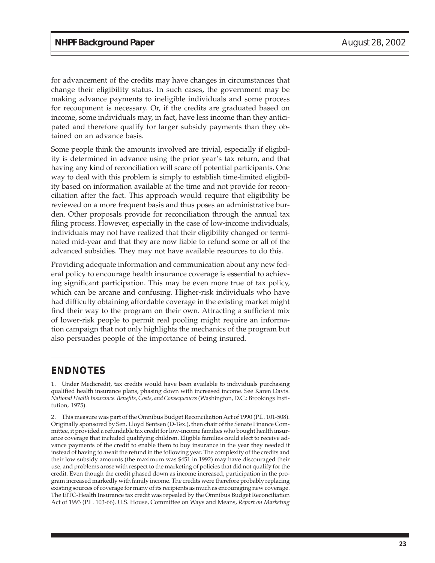for advancement of the credits may have changes in circumstances that change their eligibility status. In such cases, the government may be making advance payments to ineligible individuals and some process for recoupment is necessary. Or, if the credits are graduated based on income, some individuals may, in fact, have less income than they anticipated and therefore qualify for larger subsidy payments than they obtained on an advance basis.

Some people think the amounts involved are trivial, especially if eligibility is determined in advance using the prior year's tax return, and that having any kind of reconciliation will scare off potential participants. One way to deal with this problem is simply to establish time-limited eligibility based on information available at the time and not provide for reconciliation after the fact. This approach would require that eligibility be reviewed on a more frequent basis and thus poses an administrative burden. Other proposals provide for reconciliation through the annual tax filing process. However, especially in the case of low-income individuals, individuals may not have realized that their eligibility changed or terminated mid-year and that they are now liable to refund some or all of the advanced subsidies. They may not have available resources to do this.

Providing adequate information and communication about any new federal policy to encourage health insurance coverage is essential to achieving significant participation. This may be even more true of tax policy, which can be arcane and confusing. Higher-risk individuals who have had difficulty obtaining affordable coverage in the existing market might find their way to the program on their own. Attracting a sufficient mix of lower-risk people to permit real pooling might require an information campaign that not only highlights the mechanics of the program but also persuades people of the importance of being insured.

## **ENDNOTES**

1. Under Medicredit, tax credits would have been available to individuals purchasing qualified health insurance plans, phasing down with increased income. See Karen Davis. *National Health Insurance. Benefits, Costs, and Consequences* (Washington, D.C.: Brookings Institution, 1975).

2. This measure was part of the Omnibus Budget Reconciliation Act of 1990 (P.L. 101-508). Originally sponsored by Sen. Lloyd Bentsen (D-Tex.), then chair of the Senate Finance Committee, it provided a refundable tax credit for low-income families who bought health insurance coverage that included qualifying children. Eligible families could elect to receive advance payments of the credit to enable them to buy insurance in the year they needed it instead of having to await the refund in the following year. The complexity of the credits and their low subsidy amounts (the maximum was \$451 in 1992) may have discouraged their use, and problems arose with respect to the marketing of policies that did not qualify for the credit. Even though the credit phased down as income increased, participation in the program increased markedly with family income. The credits were therefore probably replacing existing sources of coverage for many of its recipients as much as encouraging new coverage. The EITC-Health Insurance tax credit was repealed by the Omnibus Budget Reconciliation Act of 1993 (P.L. 103-66). U.S. House, Committee on Ways and Means, *Report on Marketing*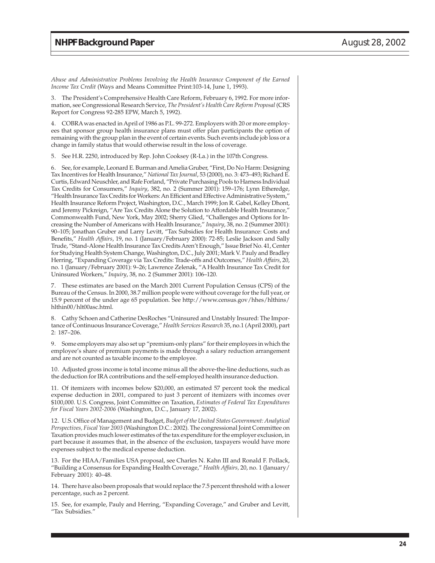*Abuse and Administrative Problems Involving the Health Insurance Component of the Earned Income Tax Credit* (Ways and Means Committee Print:103-14, June 1, 1993).

3. The President's Comprehensive Health Care Reform, February 6, 1992. For more information, see Congressional Research Service, *The President's Health Care Reform Proposal* (CRS Report for Congress 92-285 EPW, March 5, 1992).

4. COBRA was enacted in April of 1986 as P.L. 99-272. Employers with 20 or more employees that sponsor group health insurance plans must offer plan participants the option of remaining with the group plan in the event of certain events. Such events include job loss or a change in family status that would otherwise result in the loss of coverage.

5. See H.R. 2250, introduced by Rep. John Cooksey (R-La.) in the 107th Congress.

6. See, for example, Leonard E. Burman and Amelia Gruber, "First, Do No Harm: Designing Tax Incentives for Health Insurance," *National Tax Journal*, 53 (2000), no. 3: 473–493; Richard E. Curtis, Edward Neuschler, and Rafe Forland, "Private Purchasing Pools to Harness Individual Tax Credits for Consumers," *Inquiry*, 382, no. 2 (Summer 2001): 159–176; Lynn Etheredge, "Health Insurance Tax Credits for Workers: An Efficient and Effective Administrative System," Health Insurance Reform Project, Washington, D.C., March 1999; Jon R. Gabel, Kelley Dhont, and Jeremy Pickreign, "Are Tax Credits Alone the Solution to Affordable Health Insurance," Commonwealth Fund, New York, May 2002; Sherry Glied, "Challenges and Options for Increasing the Number of Americans with Health Insurance," *Inquiry*, 38, no. 2 (Summer 2001): 90–105; Jonathan Gruber and Larry Levitt, "Tax Subsidies for Health Insurance: Costs and Benefits," *Health Affairs*, 19, no. 1 (January/February 2000): 72-85; Leslie Jackson and Sally Trude, "Stand-Alone Health Insurance Tax Credits Aren't Enough," Issue Brief No. 41, Center for Studying Health System Change, Washington, D.C., July 2001; Mark V. Pauly and Bradley Herring, "Expanding Coverage via Tax Credits: Trade-offs and Outcomes," *Health Affairs*, 20, no. 1 (January/February 2001): 9–26; Lawrence Zelenak, "A Health Insurance Tax Credit for Uninsured Workers," *Inquiry*, 38, no. 2 (Summer 2001): 106–120.

7. These estimates are based on the March 2001 Current Population Census (CPS) of the Bureau of the Census. In 2000, 38.7 million people were without coverage for the full year, or 15.9 percent of the under age 65 population. See http://www.census.gov/hhes/hlthins/ hlthin00/hlt00asc.html.

8. Cathy Schoen and Catherine DesRoches "Uninsured and Unstably Insured: The Importance of Continuous Insurance Coverage," *Health Services Research* 35, no.1 (April 2000), part 2: 187–206.

9. Some employers may also set up "premium-only plans" for their employees in which the employee's share of premium payments is made through a salary reduction arrangement and are not counted as taxable income to the employee.

10. Adjusted gross income is total income minus all the above-the-line deductions, such as the deduction for IRA contributions and the self-employed health insurance deduction.

11. Of itemizers with incomes below \$20,000, an estimated 57 percent took the medical expense deduction in 2001, compared to just 3 percent of itemizers with incomes over \$100,000. U.S. Congress, Joint Committee on Taxation, *Estimates of Federal Tax Expenditures for Fiscal Years 2002-2006* (Washington, D.C., January 17, 2002).

12. U.S. Office of Management and Budget, *Budget of the United States Government: Analytical Perspectives, Fiscal Year 2003* (Washington D.C.: 2002). The congressional Joint Committee on Taxation provides much lower estimates of the tax expenditure for the employer exclusion, in part because it assumes that, in the absence of the exclusion, taxpayers would have more expenses subject to the medical expense deduction.

13. For the HIAA/Families USA proposal, see Charles N. Kahn III and Ronald F. Pollack, "Building a Consensus for Expanding Health Coverage," *Health Affairs,* 20, no. 1 (January/ February 2001): 40–48.

14. There have also been proposals that would replace the 7.5 percent threshold with a lower percentage, such as 2 percent.

15. See, for example, Pauly and Herring, "Expanding Coverage," and Gruber and Levitt, "Tax Subsidies."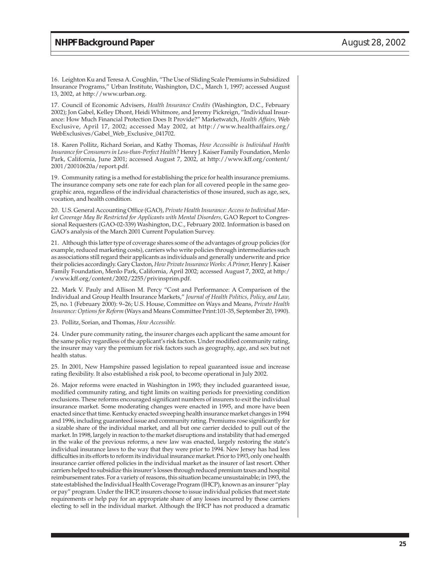16. Leighton Ku and Teresa A. Coughlin, "The Use of Sliding Scale Premiums in Subsidized Insurance Programs," Urban Institute, Washington, D.C., March 1, 1997; accessed August 13, 2002, at http://www.urban.org.

17. Council of Economic Advisers, *Health Insurance Credits* (Washington, D.C., February 2002); Jon Gabel, Kelley Dhont, Heidi Whitmore, and Jeremy Pickreign, "Individual Insurance: How Much Financial Protection Does It Provide?" Marketwatch, *Health Affairs,* Web Exclusive, April 17, 2002; accessed May 2002, at http://www.healthaffairs.org/ WebExclusives/Gabel\_Web\_Exclusive\_041702.

18. Karen Pollitz, Richard Sorian, and Kathy Thomas, *How Accessible is Individual Health Insurance for Consumers in Less-than-Perfect Health?* Henry J. Kaiser Family Foundation, Menlo Park, California, June 2001; accessed August 7, 2002, at http://www.kff.org/content/ 2001/20010620a/report.pdf.

19. Community rating is a method for establishing the price for health insurance premiums. The insurance company sets one rate for each plan for all covered people in the same geographic area, regardless of the individual characteristics of those insured, such as age, sex, vocation, and health condition.

20. U.S. General Accounting Office (GAO), *Private Health Insurance: Access to Individual Market Coverage May Be Restricted for Applicants with Mental Disorders,* GAO Report to Congressional Requesters (GAO-02-339) Washington, D.C., February 2002. Information is based on GAO's analysis of the March 2001 Current Population Survey.

21. Although this latter type of coverage shares some of the advantages of group policies (for example, reduced marketing costs), carriers who write policies through intermediaries such as associations still regard their applicants as individuals and generally underwrite and price their policies accordingly. Gary Claxton, *How Private Insurance Works: A Primer,* Henry J. Kaiser Family Foundation, Menlo Park, California, April 2002; accessed August 7, 2002, at http:/ /www.kff.org/content/2002/2255/privinsprim.pdf.

22. Mark V. Pauly and Allison M. Percy "Cost and Performance: A Comparison of the Individual and Group Health Insurance Markets," *Journal of Health Politics, Policy, and Law,* 25, no. 1 (February 2000): 9–26; U.S. House, Committee on Ways and Means, *Private Health Insurance: Options for Reform* (Ways and Means Committee Print:101-35, September 20, 1990).

23. Pollitz, Sorian, and Thomas, *How Accessible.*

24. Under pure community rating, the insurer charges each applicant the same amount for the same policy regardless of the applicant's risk factors. Under modified community rating, the insurer may vary the premium for risk factors such as geography, age, and sex but not health status.

25. In 2001, New Hampshire passed legislation to repeal guaranteed issue and increase rating flexibility. It also established a risk pool, to become operational in July 2002.

26. Major reforms were enacted in Washington in 1993; they included guaranteed issue, modified community rating, and tight limits on waiting periods for preexisting condition exclusions. These reforms encouraged significant numbers of insurers to exit the individual insurance market. Some moderating changes were enacted in 1995, and more have been enacted since that time. Kentucky enacted sweeping health insurance market changes in 1994 and 1996, including guaranteed issue and community rating. Premiums rose significantly for a sizable share of the individual market, and all but one carrier decided to pull out of the market. In 1998, largely in reaction to the market disruptions and instability that had emerged in the wake of the previous reforms, a new law was enacted, largely restoring the state's individual insurance laws to the way that they were prior to 1994. New Jersey has had less difficulties in its efforts to reform its individual insurance market. Prior to 1993, only one health insurance carrier offered policies in the individual market as the insurer of last resort. Other carriers helped to subsidize this insurer's losses through reduced premium taxes and hospital reimbursement rates. For a variety of reasons, this situation became unsustainable; in 1993, the state established the Individual Health Coverage Program (IHCP), known as an insurer "play or pay" program. Under the IHCP, insurers choose to issue individual policies that meet state requirements or help pay for an appropriate share of any losses incurred by those carriers electing to sell in the individual market. Although the IHCP has not produced a dramatic